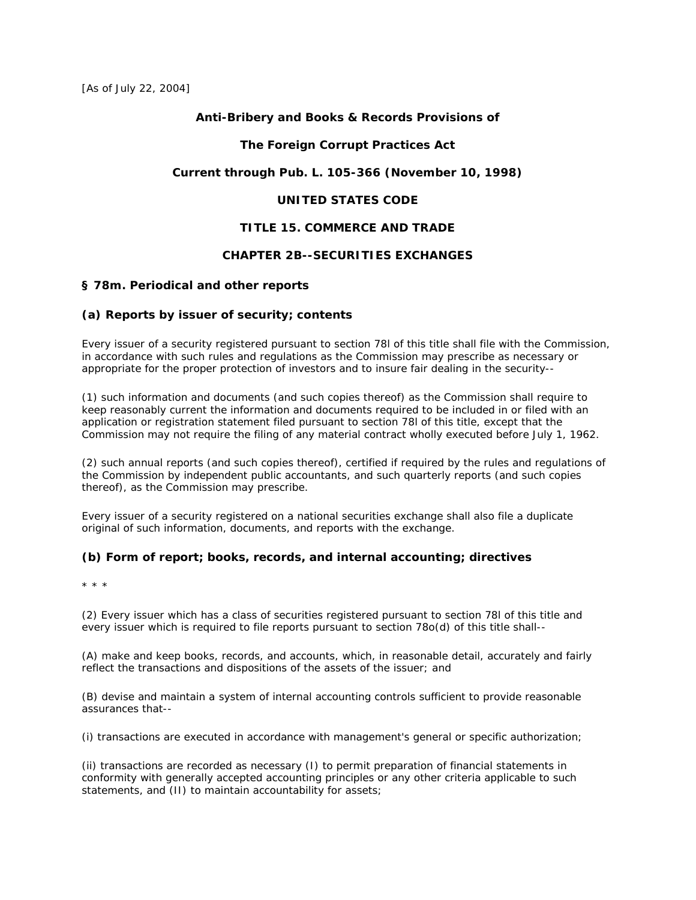### **Anti-Bribery and Books & Records Provisions of**

#### **The Foreign Corrupt Practices Act**

### *Current through Pub. L. 105-366 (November 10, 1998***)**

### **UNITED STATES CODE**

# **TITLE 15. COMMERCE AND TRADE**

## **CHAPTER 2B--SECURITIES EXCHANGES**

#### **§ 78m. Periodical and other reports**

### **(a) Reports by issuer of security; contents**

Every issuer of a security registered pursuant to section 78l of this title shall file with the Commission, in accordance with such rules and regulations as the Commission may prescribe as necessary or appropriate for the proper protection of investors and to insure fair dealing in the security--

(1) such information and documents (and such copies thereof) as the Commission shall require to keep reasonably current the information and documents required to be included in or filed with an application or registration statement filed pursuant to section 78l of this title, except that the Commission may not require the filing of any material contract wholly executed before July 1, 1962.

(2) such annual reports (and such copies thereof), certified if required by the rules and regulations of the Commission by independent public accountants, and such quarterly reports (and such copies thereof), as the Commission may prescribe.

Every issuer of a security registered on a national securities exchange shall also file a duplicate original of such information, documents, and reports with the exchange.

## **(b) Form of report; books, records, and internal accounting; directives**

\* \* \*

(2) Every issuer which has a class of securities registered pursuant to section 78l of this title and every issuer which is required to file reports pursuant to section 78o(d) of this title shall--

(A) make and keep books, records, and accounts, which, in reasonable detail, accurately and fairly reflect the transactions and dispositions of the assets of the issuer; and

(B) devise and maintain a system of internal accounting controls sufficient to provide reasonable assurances that--

(i) transactions are executed in accordance with management's general or specific authorization;

(ii) transactions are recorded as necessary (I) to permit preparation of financial statements in conformity with generally accepted accounting principles or any other criteria applicable to such statements, and (II) to maintain accountability for assets;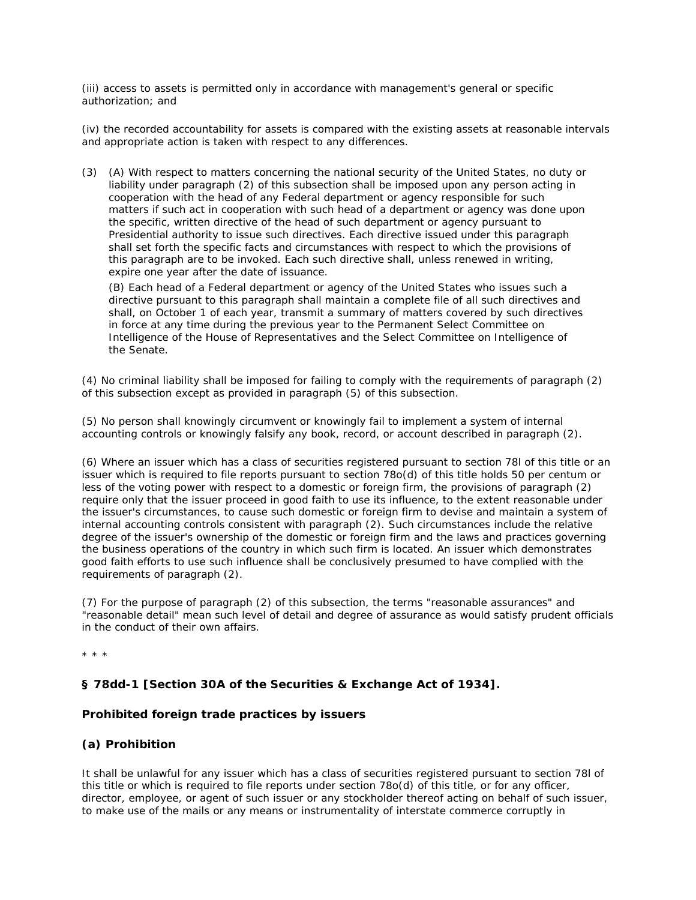(iii) access to assets is permitted only in accordance with management's general or specific authorization; and

(iv) the recorded accountability for assets is compared with the existing assets at reasonable intervals and appropriate action is taken with respect to any differences.

(3) (A) With respect to matters concerning the national security of the United States, no duty or liability under paragraph (2) of this subsection shall be imposed upon any person acting in cooperation with the head of any Federal department or agency responsible for such matters if such act in cooperation with such head of a department or agency was done upon the specific, written directive of the head of such department or agency pursuant to Presidential authority to issue such directives. Each directive issued under this paragraph shall set forth the specific facts and circumstances with respect to which the provisions of this paragraph are to be invoked. Each such directive shall, unless renewed in writing, expire one year after the date of issuance.

(B) Each head of a Federal department or agency of the United States who issues such a directive pursuant to this paragraph shall maintain a complete file of all such directives and shall, on October 1 of each year, transmit a summary of matters covered by such directives in force at any time during the previous year to the Permanent Select Committee on Intelligence of the House of Representatives and the Select Committee on Intelligence of the Senate.

(4) No criminal liability shall be imposed for failing to comply with the requirements of paragraph (2) of this subsection except as provided in paragraph (5) of this subsection.

(5) No person shall knowingly circumvent or knowingly fail to implement a system of internal accounting controls or knowingly falsify any book, record, or account described in paragraph (2).

(6) Where an issuer which has a class of securities registered pursuant to section 78l of this title or an issuer which is required to file reports pursuant to section 78o(d) of this title holds 50 per centum or less of the voting power with respect to a domestic or foreign firm, the provisions of paragraph (2) require only that the issuer proceed in good faith to use its influence, to the extent reasonable under the issuer's circumstances, to cause such domestic or foreign firm to devise and maintain a system of internal accounting controls consistent with paragraph (2). Such circumstances include the relative degree of the issuer's ownership of the domestic or foreign firm and the laws and practices governing the business operations of the country in which such firm is located. An issuer which demonstrates good faith efforts to use such influence shall be conclusively presumed to have complied with the requirements of paragraph (2).

(7) For the purpose of paragraph (2) of this subsection, the terms "reasonable assurances" and "reasonable detail" mean such level of detail and degree of assurance as would satisfy prudent officials in the conduct of their own affairs.

\* \* \*

## **§ 78dd-1 [Section 30A of the Securities & Exchange Act of 1934].**

#### **Prohibited foreign trade practices by issuers**

#### **(a) Prohibition**

It shall be unlawful for any issuer which has a class of securities registered pursuant to section 78l of this title or which is required to file reports under section 78o(d) of this title, or for any officer, director, employee, or agent of such issuer or any stockholder thereof acting on behalf of such issuer, to make use of the mails or any means or instrumentality of interstate commerce corruptly in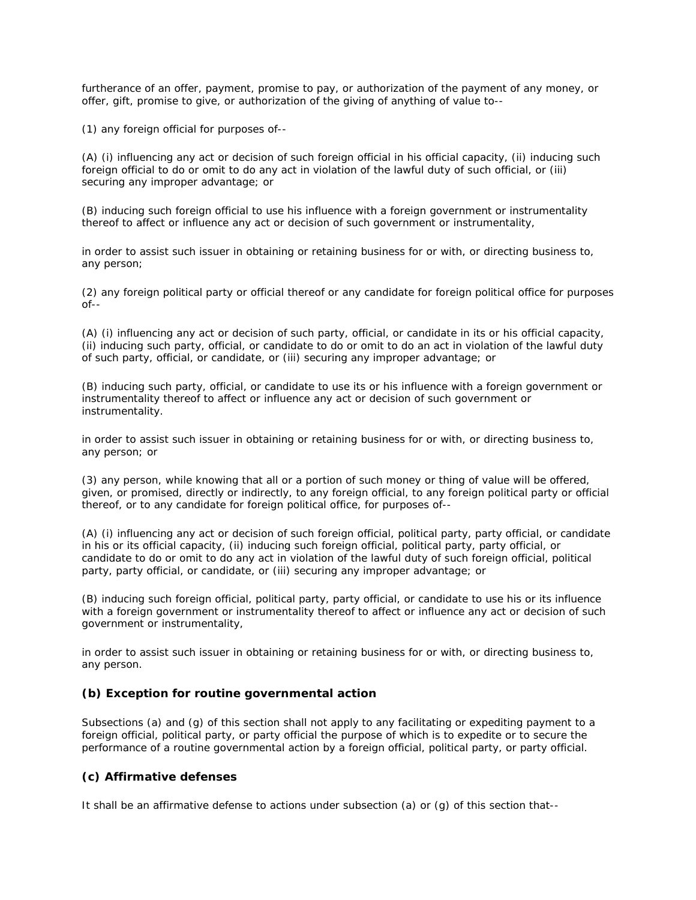furtherance of an offer, payment, promise to pay, or authorization of the payment of any money, or offer, gift, promise to give, or authorization of the giving of anything of value to--

(1) any foreign official for purposes of--

(A) (i) influencing any act or decision of such foreign official in his official capacity, (ii) inducing such foreign official to do or omit to do any act in violation of the lawful duty of such official, or (iii) securing any improper advantage; or

(B) inducing such foreign official to use his influence with a foreign government or instrumentality thereof to affect or influence any act or decision of such government or instrumentality,

in order to assist such issuer in obtaining or retaining business for or with, or directing business to, any person;

(2) any foreign political party or official thereof or any candidate for foreign political office for purposes  $of --$ 

(A) (i) influencing any act or decision of such party, official, or candidate in its or his official capacity, (ii) inducing such party, official, or candidate to do or omit to do an act in violation of the lawful duty of such party, official, or candidate, or (iii) securing any improper advantage; or

(B) inducing such party, official, or candidate to use its or his influence with a foreign government or instrumentality thereof to affect or influence any act or decision of such government or instrumentality.

in order to assist such issuer in obtaining or retaining business for or with, or directing business to, any person; or

(3) any person, while knowing that all or a portion of such money or thing of value will be offered, given, or promised, directly or indirectly, to any foreign official, to any foreign political party or official thereof, or to any candidate for foreign political office, for purposes of--

(A) (i) influencing any act or decision of such foreign official, political party, party official, or candidate in his or its official capacity, (ii) inducing such foreign official, political party, party official, or candidate to do or omit to do any act in violation of the lawful duty of such foreign official, political party, party official, or candidate, or (iii) securing any improper advantage; or

(B) inducing such foreign official, political party, party official, or candidate to use his or its influence with a foreign government or instrumentality thereof to affect or influence any act or decision of such government or instrumentality,

in order to assist such issuer in obtaining or retaining business for or with, or directing business to, any person.

#### **(b) Exception for routine governmental action**

Subsections (a) and (g) of this section shall not apply to any facilitating or expediting payment to a foreign official, political party, or party official the purpose of which is to expedite or to secure the performance of a routine governmental action by a foreign official, political party, or party official.

#### **(c) Affirmative defenses**

It shall be an affirmative defense to actions under subsection (a) or (g) of this section that--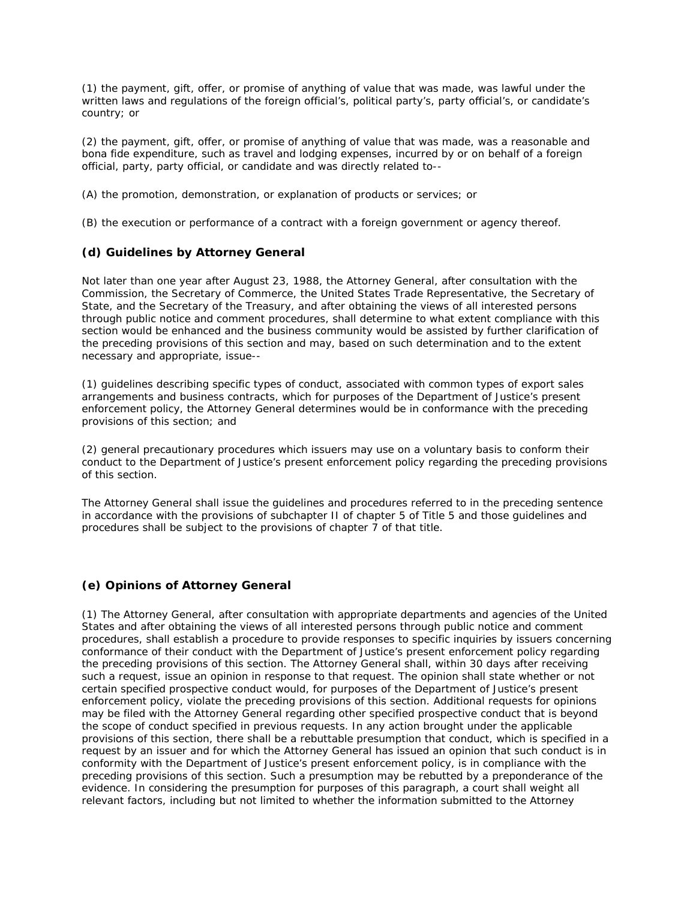(1) the payment, gift, offer, or promise of anything of value that was made, was lawful under the written laws and regulations of the foreign official's, political party's, party official's, or candidate's country; or

(2) the payment, gift, offer, or promise of anything of value that was made, was a reasonable and bona fide expenditure, such as travel and lodging expenses, incurred by or on behalf of a foreign official, party, party official, or candidate and was directly related to--

(A) the promotion, demonstration, or explanation of products or services; or

(B) the execution or performance of a contract with a foreign government or agency thereof.

### **(d) Guidelines by Attorney General**

Not later than one year after August 23, 1988, the Attorney General, after consultation with the Commission, the Secretary of Commerce, the United States Trade Representative, the Secretary of State, and the Secretary of the Treasury, and after obtaining the views of all interested persons through public notice and comment procedures, shall determine to what extent compliance with this section would be enhanced and the business community would be assisted by further clarification of the preceding provisions of this section and may, based on such determination and to the extent necessary and appropriate, issue--

(1) guidelines describing specific types of conduct, associated with common types of export sales arrangements and business contracts, which for purposes of the Department of Justice's present enforcement policy, the Attorney General determines would be in conformance with the preceding provisions of this section; and

(2) general precautionary procedures which issuers may use on a voluntary basis to conform their conduct to the Department of Justice's present enforcement policy regarding the preceding provisions of this section.

The Attorney General shall issue the guidelines and procedures referred to in the preceding sentence in accordance with the provisions of subchapter II of chapter 5 of Title 5 and those guidelines and procedures shall be subject to the provisions of chapter 7 of that title.

## **(e) Opinions of Attorney General**

(1) The Attorney General, after consultation with appropriate departments and agencies of the United States and after obtaining the views of all interested persons through public notice and comment procedures, shall establish a procedure to provide responses to specific inquiries by issuers concerning conformance of their conduct with the Department of Justice's present enforcement policy regarding the preceding provisions of this section. The Attorney General shall, within 30 days after receiving such a request, issue an opinion in response to that request. The opinion shall state whether or not certain specified prospective conduct would, for purposes of the Department of Justice's present enforcement policy, violate the preceding provisions of this section. Additional requests for opinions may be filed with the Attorney General regarding other specified prospective conduct that is beyond the scope of conduct specified in previous requests. In any action brought under the applicable provisions of this section, there shall be a rebuttable presumption that conduct, which is specified in a request by an issuer and for which the Attorney General has issued an opinion that such conduct is in conformity with the Department of Justice's present enforcement policy, is in compliance with the preceding provisions of this section. Such a presumption may be rebutted by a preponderance of the evidence. In considering the presumption for purposes of this paragraph, a court shall weight all relevant factors, including but not limited to whether the information submitted to the Attorney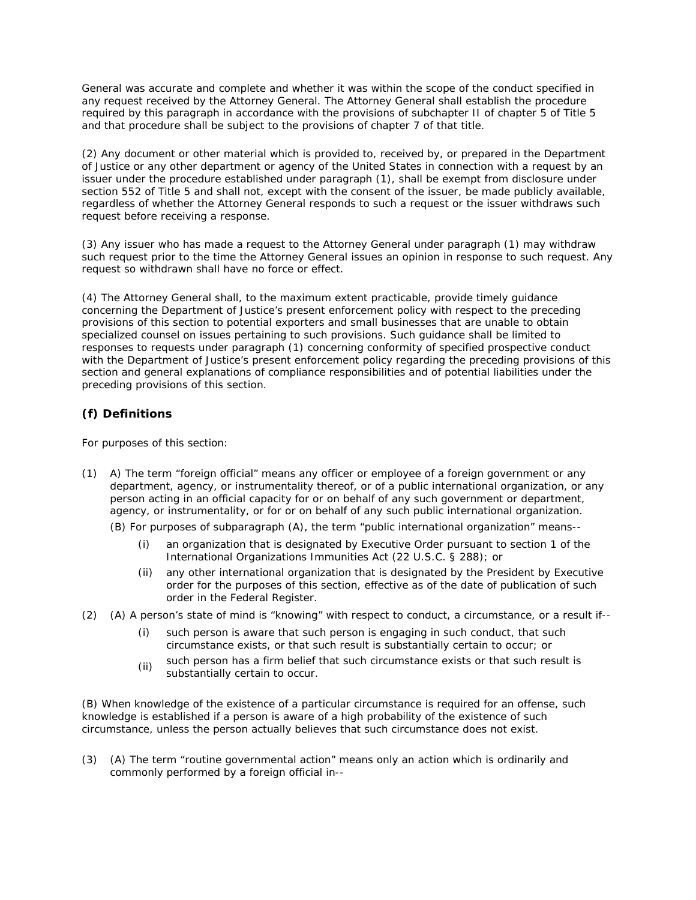General was accurate and complete and whether it was within the scope of the conduct specified in any request received by the Attorney General. The Attorney General shall establish the procedure required by this paragraph in accordance with the provisions of subchapter II of chapter 5 of Title 5 and that procedure shall be subject to the provisions of chapter 7 of that title.

(2) Any document or other material which is provided to, received by, or prepared in the Department of Justice or any other department or agency of the United States in connection with a request by an issuer under the procedure established under paragraph (1), shall be exempt from disclosure under section 552 of Title 5 and shall not, except with the consent of the issuer, be made publicly available, regardless of whether the Attorney General responds to such a request or the issuer withdraws such request before receiving a response.

(3) Any issuer who has made a request to the Attorney General under paragraph (1) may withdraw such request prior to the time the Attorney General issues an opinion in response to such request. Any request so withdrawn shall have no force or effect.

(4) The Attorney General shall, to the maximum extent practicable, provide timely guidance concerning the Department of Justice's present enforcement policy with respect to the preceding provisions of this section to potential exporters and small businesses that are unable to obtain specialized counsel on issues pertaining to such provisions. Such guidance shall be limited to responses to requests under paragraph (1) concerning conformity of specified prospective conduct with the Department of Justice's present enforcement policy regarding the preceding provisions of this section and general explanations of compliance responsibilities and of potential liabilities under the preceding provisions of this section.

# **(f) Definitions**

For purposes of this section:

- (1) A) The term "foreign official" means any officer or employee of a foreign government or any department, agency, or instrumentality thereof, or of a public international organization, or any person acting in an official capacity for or on behalf of any such government or department, agency, or instrumentality, or for or on behalf of any such public international organization.
	- (B) For purposes of subparagraph (A), the term "public international organization" means--
		- (i) an organization that is designated by Executive Order pursuant to section 1 of the International Organizations Immunities Act (22 U.S.C. § 288); or
		- (ii) any other international organization that is designated by the President by Executive order for the purposes of this section, effective as of the date of publication of such order in the Federal Register.
- (2) (A) A person's state of mind is "knowing" with respect to conduct, a circumstance, or a result if--
	- (i) such person is aware that such person is engaging in such conduct, that such circumstance exists, or that such result is substantially certain to occur; or
	- (ii) such person has a firm belief that such circumstance exists or that such result is substantially certain to occur.

(B) When knowledge of the existence of a particular circumstance is required for an offense, such knowledge is established if a person is aware of a high probability of the existence of such circumstance, unless the person actually believes that such circumstance does not exist.

(3) (A) The term "routine governmental action" means only an action which is ordinarily and commonly performed by a foreign official in--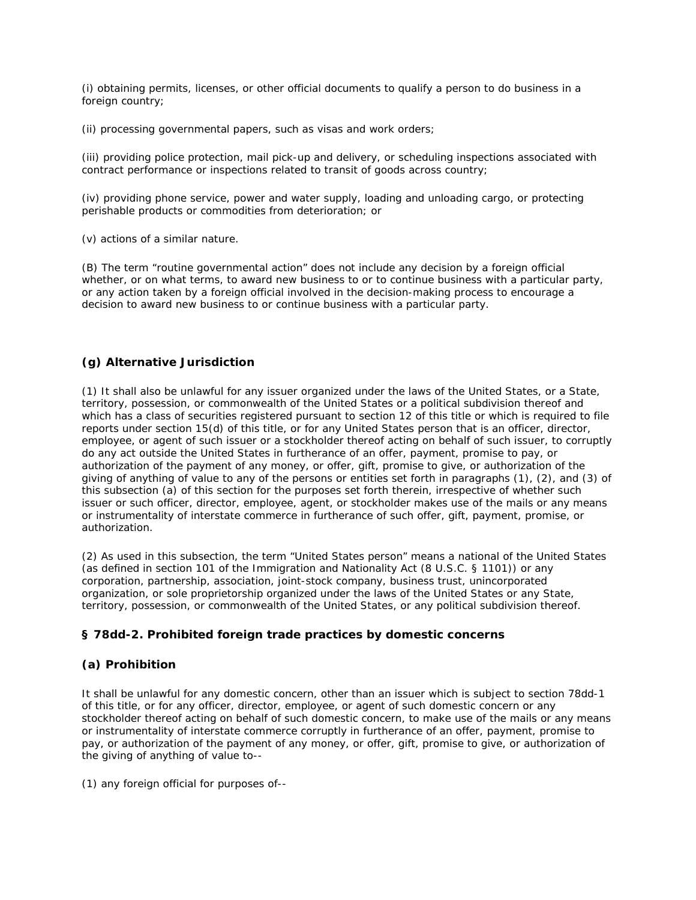(i) obtaining permits, licenses, or other official documents to qualify a person to do business in a foreign country;

(ii) processing governmental papers, such as visas and work orders;

(iii) providing police protection, mail pick-up and delivery, or scheduling inspections associated with contract performance or inspections related to transit of goods across country;

(iv) providing phone service, power and water supply, loading and unloading cargo, or protecting perishable products or commodities from deterioration; or

(v) actions of a similar nature.

(B) The term "routine governmental action" does not include any decision by a foreign official whether, or on what terms, to award new business to or to continue business with a particular party, or any action taken by a foreign official involved in the decision-making process to encourage a decision to award new business to or continue business with a particular party.

## **(g) Alternative Jurisdiction**

(1) It shall also be unlawful for any issuer organized under the laws of the United States, or a State, territory, possession, or commonwealth of the United States or a political subdivision thereof and which has a class of securities registered pursuant to section 12 of this title or which is required to file reports under section 15(d) of this title, or for any United States person that is an officer, director, employee, or agent of such issuer or a stockholder thereof acting on behalf of such issuer, to corruptly do any act outside the United States in furtherance of an offer, payment, promise to pay, or authorization of the payment of any money, or offer, gift, promise to give, or authorization of the giving of anything of value to any of the persons or entities set forth in paragraphs (1), (2), and (3) of this subsection (a) of this section for the purposes set forth therein, irrespective of whether such issuer or such officer, director, employee, agent, or stockholder makes use of the mails or any means or instrumentality of interstate commerce in furtherance of such offer, gift, payment, promise, or authorization.

(2) As used in this subsection, the term "United States person" means a national of the United States (as defined in section 101 of the Immigration and Nationality Act (8 U.S.C. § 1101)) or any corporation, partnership, association, joint-stock company, business trust, unincorporated organization, or sole proprietorship organized under the laws of the United States or any State, territory, possession, or commonwealth of the United States, or any political subdivision thereof.

## **§ 78dd-2. Prohibited foreign trade practices by domestic concerns**

#### **(a) Prohibition**

It shall be unlawful for any domestic concern, other than an issuer which is subject to section 78dd-1 of this title, or for any officer, director, employee, or agent of such domestic concern or any stockholder thereof acting on behalf of such domestic concern, to make use of the mails or any means or instrumentality of interstate commerce corruptly in furtherance of an offer, payment, promise to pay, or authorization of the payment of any money, or offer, gift, promise to give, or authorization of the giving of anything of value to--

(1) any foreign official for purposes of--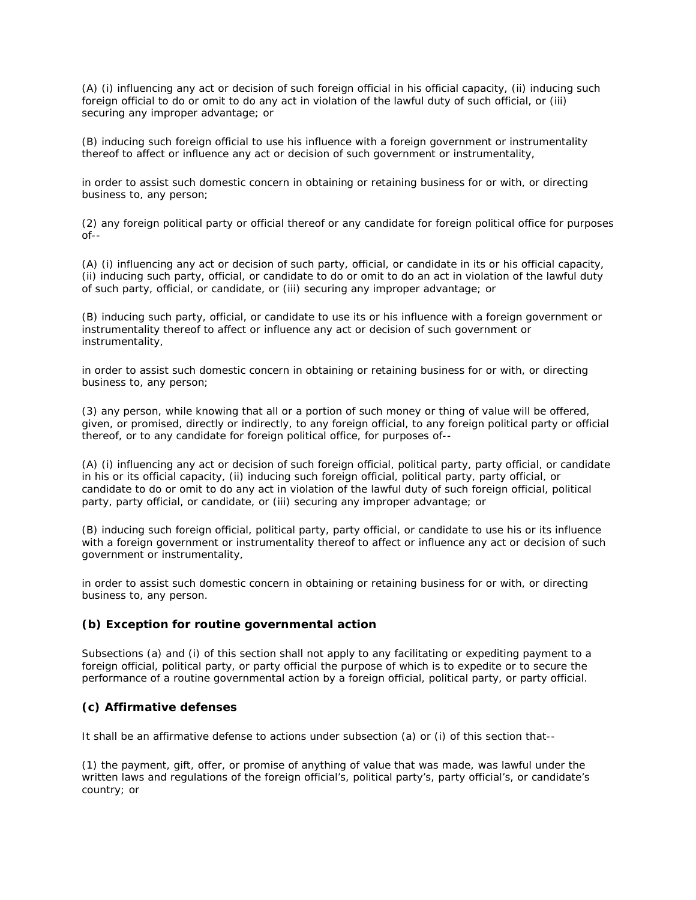(A) (i) influencing any act or decision of such foreign official in his official capacity, (ii) inducing such foreign official to do or omit to do any act in violation of the lawful duty of such official, or (iii) securing any improper advantage; or

(B) inducing such foreign official to use his influence with a foreign government or instrumentality thereof to affect or influence any act or decision of such government or instrumentality,

in order to assist such domestic concern in obtaining or retaining business for or with, or directing business to, any person;

(2) any foreign political party or official thereof or any candidate for foreign political office for purposes of--

(A) (i) influencing any act or decision of such party, official, or candidate in its or his official capacity, (ii) inducing such party, official, or candidate to do or omit to do an act in violation of the lawful duty of such party, official, or candidate, or (iii) securing any improper advantage; or

(B) inducing such party, official, or candidate to use its or his influence with a foreign government or instrumentality thereof to affect or influence any act or decision of such government or instrumentality,

in order to assist such domestic concern in obtaining or retaining business for or with, or directing business to, any person;

(3) any person, while knowing that all or a portion of such money or thing of value will be offered, given, or promised, directly or indirectly, to any foreign official, to any foreign political party or official thereof, or to any candidate for foreign political office, for purposes of--

(A) (i) influencing any act or decision of such foreign official, political party, party official, or candidate in his or its official capacity, (ii) inducing such foreign official, political party, party official, or candidate to do or omit to do any act in violation of the lawful duty of such foreign official, political party, party official, or candidate, or (iii) securing any improper advantage; or

(B) inducing such foreign official, political party, party official, or candidate to use his or its influence with a foreign government or instrumentality thereof to affect or influence any act or decision of such government or instrumentality,

in order to assist such domestic concern in obtaining or retaining business for or with, or directing business to, any person.

#### **(b) Exception for routine governmental action**

Subsections (a) and (i) of this section shall not apply to any facilitating or expediting payment to a foreign official, political party, or party official the purpose of which is to expedite or to secure the performance of a routine governmental action by a foreign official, political party, or party official.

## **(c) Affirmative defenses**

It shall be an affirmative defense to actions under subsection (a) or (i) of this section that--

(1) the payment, gift, offer, or promise of anything of value that was made, was lawful under the written laws and regulations of the foreign official's, political party's, party official's, or candidate's country; or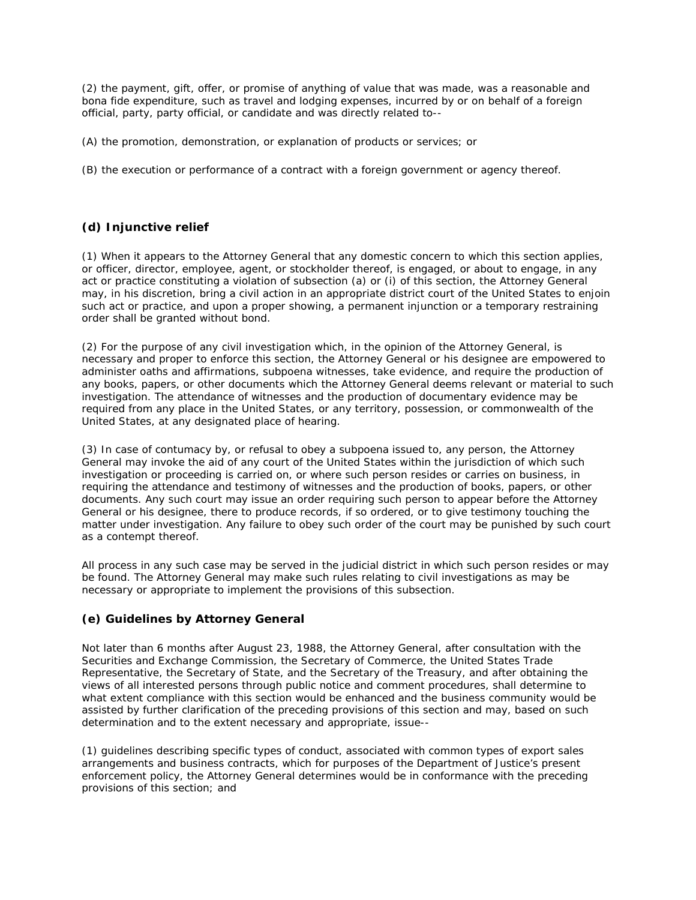(2) the payment, gift, offer, or promise of anything of value that was made, was a reasonable and bona fide expenditure, such as travel and lodging expenses, incurred by or on behalf of a foreign official, party, party official, or candidate and was directly related to--

(A) the promotion, demonstration, or explanation of products or services; or

(B) the execution or performance of a contract with a foreign government or agency thereof.

# **(d) Injunctive relief**

(1) When it appears to the Attorney General that any domestic concern to which this section applies, or officer, director, employee, agent, or stockholder thereof, is engaged, or about to engage, in any act or practice constituting a violation of subsection (a) or (i) of this section, the Attorney General may, in his discretion, bring a civil action in an appropriate district court of the United States to enjoin such act or practice, and upon a proper showing, a permanent injunction or a temporary restraining order shall be granted without bond.

(2) For the purpose of any civil investigation which, in the opinion of the Attorney General, is necessary and proper to enforce this section, the Attorney General or his designee are empowered to administer oaths and affirmations, subpoena witnesses, take evidence, and require the production of any books, papers, or other documents which the Attorney General deems relevant or material to such investigation. The attendance of witnesses and the production of documentary evidence may be required from any place in the United States, or any territory, possession, or commonwealth of the United States, at any designated place of hearing.

(3) In case of contumacy by, or refusal to obey a subpoena issued to, any person, the Attorney General may invoke the aid of any court of the United States within the jurisdiction of which such investigation or proceeding is carried on, or where such person resides or carries on business, in requiring the attendance and testimony of witnesses and the production of books, papers, or other documents. Any such court may issue an order requiring such person to appear before the Attorney General or his designee, there to produce records, if so ordered, or to give testimony touching the matter under investigation. Any failure to obey such order of the court may be punished by such court as a contempt thereof.

All process in any such case may be served in the judicial district in which such person resides or may be found. The Attorney General may make such rules relating to civil investigations as may be necessary or appropriate to implement the provisions of this subsection.

## **(e) Guidelines by Attorney General**

Not later than 6 months after August 23, 1988, the Attorney General, after consultation with the Securities and Exchange Commission, the Secretary of Commerce, the United States Trade Representative, the Secretary of State, and the Secretary of the Treasury, and after obtaining the views of all interested persons through public notice and comment procedures, shall determine to what extent compliance with this section would be enhanced and the business community would be assisted by further clarification of the preceding provisions of this section and may, based on such determination and to the extent necessary and appropriate, issue--

(1) guidelines describing specific types of conduct, associated with common types of export sales arrangements and business contracts, which for purposes of the Department of Justice's present enforcement policy, the Attorney General determines would be in conformance with the preceding provisions of this section; and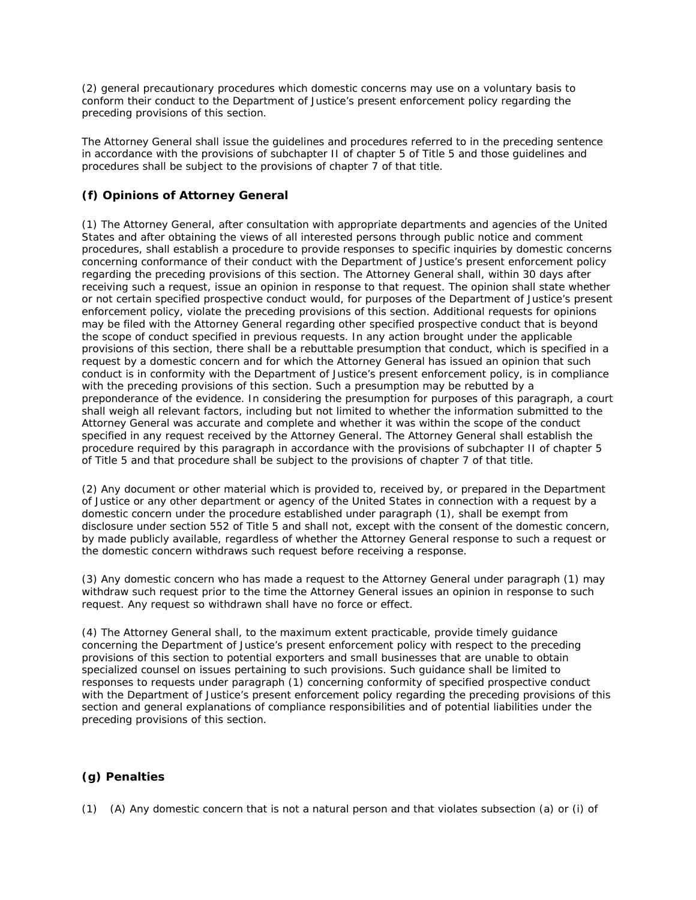(2) general precautionary procedures which domestic concerns may use on a voluntary basis to conform their conduct to the Department of Justice's present enforcement policy regarding the preceding provisions of this section.

The Attorney General shall issue the guidelines and procedures referred to in the preceding sentence in accordance with the provisions of subchapter II of chapter 5 of Title 5 and those guidelines and procedures shall be subject to the provisions of chapter 7 of that title.

## **(f) Opinions of Attorney General**

(1) The Attorney General, after consultation with appropriate departments and agencies of the United States and after obtaining the views of all interested persons through public notice and comment procedures, shall establish a procedure to provide responses to specific inquiries by domestic concerns concerning conformance of their conduct with the Department of Justice's present enforcement policy regarding the preceding provisions of this section. The Attorney General shall, within 30 days after receiving such a request, issue an opinion in response to that request. The opinion shall state whether or not certain specified prospective conduct would, for purposes of the Department of Justice's present enforcement policy, violate the preceding provisions of this section. Additional requests for opinions may be filed with the Attorney General regarding other specified prospective conduct that is beyond the scope of conduct specified in previous requests. In any action brought under the applicable provisions of this section, there shall be a rebuttable presumption that conduct, which is specified in a request by a domestic concern and for which the Attorney General has issued an opinion that such conduct is in conformity with the Department of Justice's present enforcement policy, is in compliance with the preceding provisions of this section. Such a presumption may be rebutted by a preponderance of the evidence. In considering the presumption for purposes of this paragraph, a court shall weigh all relevant factors, including but not limited to whether the information submitted to the Attorney General was accurate and complete and whether it was within the scope of the conduct specified in any request received by the Attorney General. The Attorney General shall establish the procedure required by this paragraph in accordance with the provisions of subchapter II of chapter 5 of Title 5 and that procedure shall be subject to the provisions of chapter 7 of that title.

(2) Any document or other material which is provided to, received by, or prepared in the Department of Justice or any other department or agency of the United States in connection with a request by a domestic concern under the procedure established under paragraph (1), shall be exempt from disclosure under section 552 of Title 5 and shall not, except with the consent of the domestic concern, by made publicly available, regardless of whether the Attorney General response to such a request or the domestic concern withdraws such request before receiving a response.

(3) Any domestic concern who has made a request to the Attorney General under paragraph (1) may withdraw such request prior to the time the Attorney General issues an opinion in response to such request. Any request so withdrawn shall have no force or effect.

(4) The Attorney General shall, to the maximum extent practicable, provide timely guidance concerning the Department of Justice's present enforcement policy with respect to the preceding provisions of this section to potential exporters and small businesses that are unable to obtain specialized counsel on issues pertaining to such provisions. Such guidance shall be limited to responses to requests under paragraph (1) concerning conformity of specified prospective conduct with the Department of Justice's present enforcement policy regarding the preceding provisions of this section and general explanations of compliance responsibilities and of potential liabilities under the preceding provisions of this section.

#### **(g) Penalties**

(1) (A) Any domestic concern that is not a natural person and that violates subsection (a) or (i) of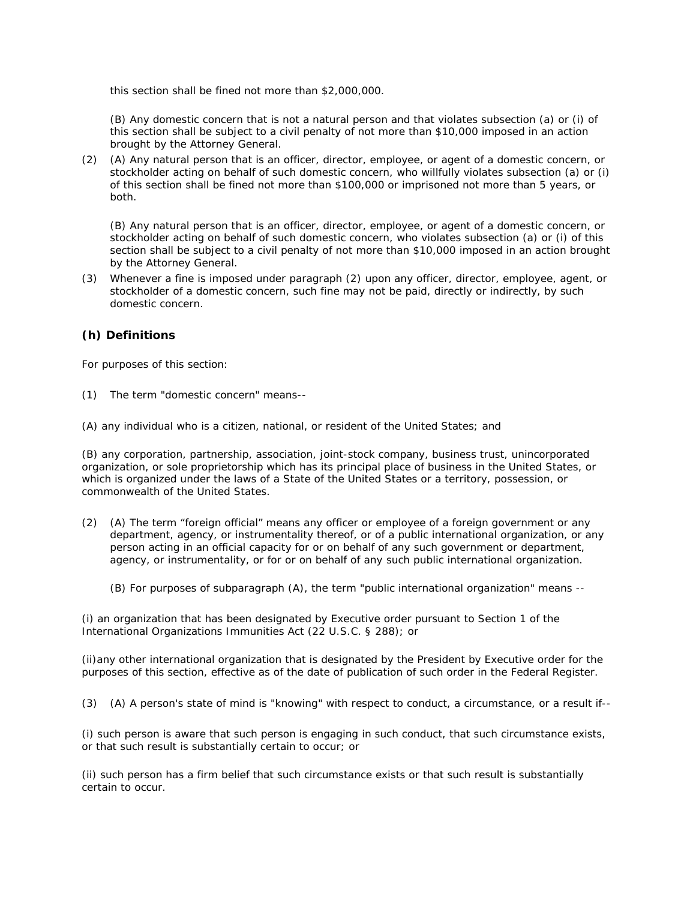this section shall be fined not more than \$2,000,000.

(B) Any domestic concern that is not a natural person and that violates subsection (a) or (i) of this section shall be subject to a civil penalty of not more than \$10,000 imposed in an action brought by the Attorney General.

(2) (A) Any natural person that is an officer, director, employee, or agent of a domestic concern, or stockholder acting on behalf of such domestic concern, who willfully violates subsection (a) or (i) of this section shall be fined not more than \$100,000 or imprisoned not more than 5 years, or both.

(B) Any natural person that is an officer, director, employee, or agent of a domestic concern, or stockholder acting on behalf of such domestic concern, who violates subsection (a) or (i) of this section shall be subject to a civil penalty of not more than \$10,000 imposed in an action brought by the Attorney General.

(3) Whenever a fine is imposed under paragraph (2) upon any officer, director, employee, agent, or stockholder of a domestic concern, such fine may not be paid, directly or indirectly, by such domestic concern.

## **(h) Definitions**

For purposes of this section:

(1) The term "domestic concern" means--

(A) any individual who is a citizen, national, or resident of the United States; and

(B) any corporation, partnership, association, joint-stock company, business trust, unincorporated organization, or sole proprietorship which has its principal place of business in the United States, or which is organized under the laws of a State of the United States or a territory, possession, or commonwealth of the United States.

- (2) (A) The term "foreign official" means any officer or employee of a foreign government or any department, agency, or instrumentality thereof, or of a public international organization, or any person acting in an official capacity for or on behalf of any such government or department, agency, or instrumentality, or for or on behalf of any such public international organization.
	- (B) For purposes of subparagraph (A), the term "public international organization" means --

(i) an organization that has been designated by Executive order pursuant to Section 1 of the International Organizations Immunities Act (22 U.S.C. § 288); or

(ii)any other international organization that is designated by the President by Executive order for the purposes of this section, effective as of the date of publication of such order in the Federal Register.

(3) (A) A person's state of mind is "knowing" with respect to conduct, a circumstance, or a result if--

(i) such person is aware that such person is engaging in such conduct, that such circumstance exists, or that such result is substantially certain to occur; or

(ii) such person has a firm belief that such circumstance exists or that such result is substantially certain to occur.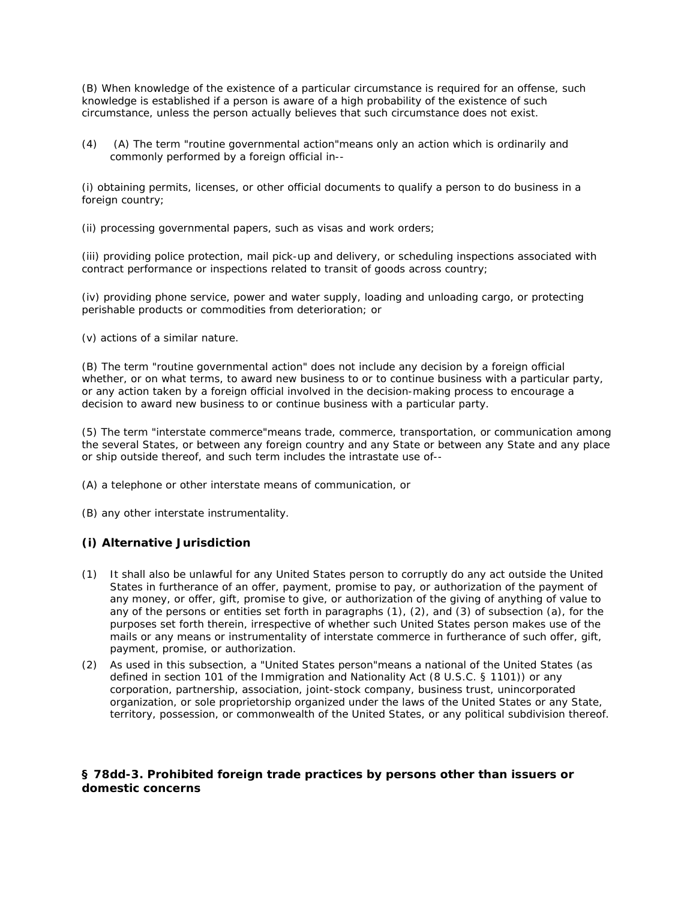(B) When knowledge of the existence of a particular circumstance is required for an offense, such knowledge is established if a person is aware of a high probability of the existence of such circumstance, unless the person actually believes that such circumstance does not exist.

(4) (A) The term "routine governmental action"means only an action which is ordinarily and commonly performed by a foreign official in--

(i) obtaining permits, licenses, or other official documents to qualify a person to do business in a foreign country;

(ii) processing governmental papers, such as visas and work orders;

(iii) providing police protection, mail pick-up and delivery, or scheduling inspections associated with contract performance or inspections related to transit of goods across country;

(iv) providing phone service, power and water supply, loading and unloading cargo, or protecting perishable products or commodities from deterioration; or

(v) actions of a similar nature.

(B) The term "routine governmental action" does not include any decision by a foreign official whether, or on what terms, to award new business to or to continue business with a particular party, or any action taken by a foreign official involved in the decision-making process to encourage a decision to award new business to or continue business with a particular party.

(5) The term "interstate commerce"means trade, commerce, transportation, or communication among the several States, or between any foreign country and any State or between any State and any place or ship outside thereof, and such term includes the intrastate use of--

(A) a telephone or other interstate means of communication, or

(B) any other interstate instrumentality.

## **(i) Alternative Jurisdiction**

- (1) It shall also be unlawful for any United States person to corruptly do any act outside the United States in furtherance of an offer, payment, promise to pay, or authorization of the payment of any money, or offer, gift, promise to give, or authorization of the giving of anything of value to any of the persons or entities set forth in paragraphs (1), (2), and (3) of subsection (a), for the purposes set forth therein, irrespective of whether such United States person makes use of the mails or any means or instrumentality of interstate commerce in furtherance of such offer, gift, payment, promise, or authorization.
- (2) As used in this subsection, a "United States person"means a national of the United States (as defined in section 101 of the Immigration and Nationality Act (8 U.S.C. § 1101)) or any corporation, partnership, association, joint-stock company, business trust, unincorporated organization, or sole proprietorship organized under the laws of the United States or any State, territory, possession, or commonwealth of the United States, or any political subdivision thereof.

### **§ 78dd-3. Prohibited foreign trade practices by persons other than issuers or domestic concerns**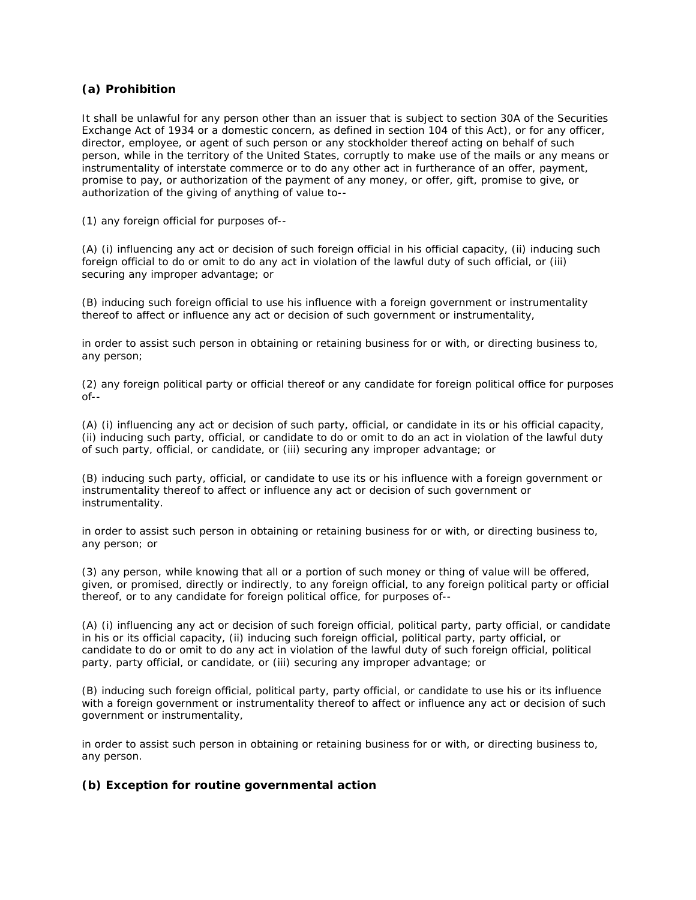### **(a) Prohibition**

It shall be unlawful for any person other than an issuer that is subject to section 30A of the Securities Exchange Act of 1934 or a domestic concern, as defined in section 104 of this Act), or for any officer, director, employee, or agent of such person or any stockholder thereof acting on behalf of such person, while in the territory of the United States, corruptly to make use of the mails or any means or instrumentality of interstate commerce or to do any other act in furtherance of an offer, payment, promise to pay, or authorization of the payment of any money, or offer, gift, promise to give, or authorization of the giving of anything of value to--

(1) any foreign official for purposes of--

(A) (i) influencing any act or decision of such foreign official in his official capacity, (ii) inducing such foreign official to do or omit to do any act in violation of the lawful duty of such official, or (iii) securing any improper advantage; or

(B) inducing such foreign official to use his influence with a foreign government or instrumentality thereof to affect or influence any act or decision of such government or instrumentality,

in order to assist such person in obtaining or retaining business for or with, or directing business to, any person;

(2) any foreign political party or official thereof or any candidate for foreign political office for purposes of--

(A) (i) influencing any act or decision of such party, official, or candidate in its or his official capacity, (ii) inducing such party, official, or candidate to do or omit to do an act in violation of the lawful duty of such party, official, or candidate, or (iii) securing any improper advantage; or

(B) inducing such party, official, or candidate to use its or his influence with a foreign government or instrumentality thereof to affect or influence any act or decision of such government or instrumentality.

in order to assist such person in obtaining or retaining business for or with, or directing business to, any person; or

(3) any person, while knowing that all or a portion of such money or thing of value will be offered, given, or promised, directly or indirectly, to any foreign official, to any foreign political party or official thereof, or to any candidate for foreign political office, for purposes of--

(A) (i) influencing any act or decision of such foreign official, political party, party official, or candidate in his or its official capacity, (ii) inducing such foreign official, political party, party official, or candidate to do or omit to do any act in violation of the lawful duty of such foreign official, political party, party official, or candidate, or (iii) securing any improper advantage; or

(B) inducing such foreign official, political party, party official, or candidate to use his or its influence with a foreign government or instrumentality thereof to affect or influence any act or decision of such government or instrumentality,

in order to assist such person in obtaining or retaining business for or with, or directing business to, any person.

## **(b) Exception for routine governmental action**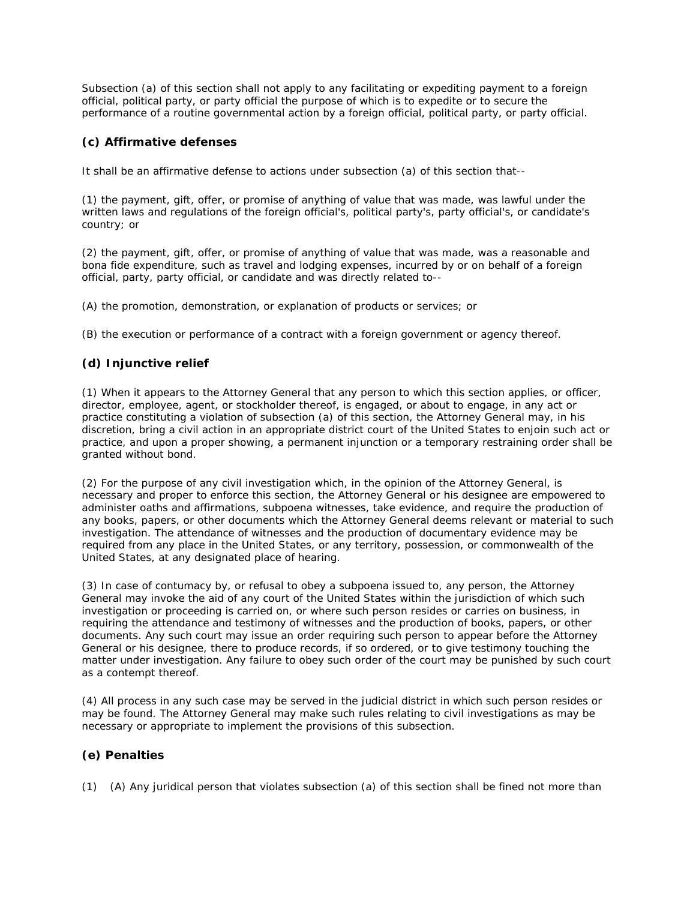Subsection (a) of this section shall not apply to any facilitating or expediting payment to a foreign official, political party, or party official the purpose of which is to expedite or to secure the performance of a routine governmental action by a foreign official, political party, or party official.

# **(c) Affirmative defenses**

It shall be an affirmative defense to actions under subsection (a) of this section that--

(1) the payment, gift, offer, or promise of anything of value that was made, was lawful under the written laws and regulations of the foreign official's, political party's, party official's, or candidate's country; or

(2) the payment, gift, offer, or promise of anything of value that was made, was a reasonable and bona fide expenditure, such as travel and lodging expenses, incurred by or on behalf of a foreign official, party, party official, or candidate and was directly related to--

(A) the promotion, demonstration, or explanation of products or services; or

(B) the execution or performance of a contract with a foreign government or agency thereof.

# **(d) Injunctive relief**

(1) When it appears to the Attorney General that any person to which this section applies, or officer, director, employee, agent, or stockholder thereof, is engaged, or about to engage, in any act or practice constituting a violation of subsection (a) of this section, the Attorney General may, in his discretion, bring a civil action in an appropriate district court of the United States to enjoin such act or practice, and upon a proper showing, a permanent injunction or a temporary restraining order shall be granted without bond.

(2) For the purpose of any civil investigation which, in the opinion of the Attorney General, is necessary and proper to enforce this section, the Attorney General or his designee are empowered to administer oaths and affirmations, subpoena witnesses, take evidence, and require the production of any books, papers, or other documents which the Attorney General deems relevant or material to such investigation. The attendance of witnesses and the production of documentary evidence may be required from any place in the United States, or any territory, possession, or commonwealth of the United States, at any designated place of hearing.

(3) In case of contumacy by, or refusal to obey a subpoena issued to, any person, the Attorney General may invoke the aid of any court of the United States within the jurisdiction of which such investigation or proceeding is carried on, or where such person resides or carries on business, in requiring the attendance and testimony of witnesses and the production of books, papers, or other documents. Any such court may issue an order requiring such person to appear before the Attorney General or his designee, there to produce records, if so ordered, or to give testimony touching the matter under investigation. Any failure to obey such order of the court may be punished by such court as a contempt thereof.

(4) All process in any such case may be served in the judicial district in which such person resides or may be found. The Attorney General may make such rules relating to civil investigations as may be necessary or appropriate to implement the provisions of this subsection.

## **(e) Penalties**

(1) (A) Any juridical person that violates subsection (a) of this section shall be fined not more than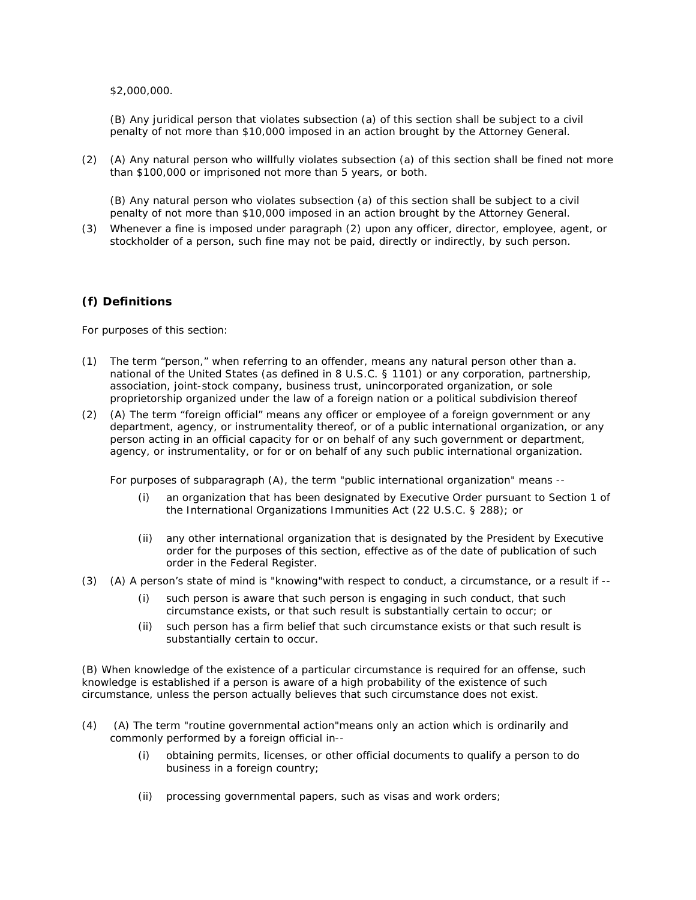#### \$2,000,000.

(B) Any juridical person that violates subsection (a) of this section shall be subject to a civil penalty of not more than \$10,000 imposed in an action brought by the Attorney General.

(2) (A) Any natural person who willfully violates subsection (a) of this section shall be fined not more than \$100,000 or imprisoned not more than 5 years, or both.

(B) Any natural person who violates subsection (a) of this section shall be subject to a civil penalty of not more than \$10,000 imposed in an action brought by the Attorney General.

(3) Whenever a fine is imposed under paragraph (2) upon any officer, director, employee, agent, or stockholder of a person, such fine may not be paid, directly or indirectly, by such person.

## **(f) Definitions**

For purposes of this section:

- (1) The term "person," when referring to an offender, means any natural person other than a. national of the United States (as defined in 8 U.S.C. § 1101) or any corporation, partnership, association, joint-stock company, business trust, unincorporated organization, or sole proprietorship organized under the law of a foreign nation or a political subdivision thereof
- (2) (A) The term "foreign official" means any officer or employee of a foreign government or any department, agency, or instrumentality thereof, or of a public international organization, or any person acting in an official capacity for or on behalf of any such government or department, agency, or instrumentality, or for or on behalf of any such public international organization.

For purposes of subparagraph (A), the term "public international organization" means --

- (i) an organization that has been designated by Executive Order pursuant to Section 1 of the International Organizations Immunities Act (22 U.S.C. § 288); or
- (ii) any other international organization that is designated by the President by Executive order for the purposes of this section, effective as of the date of publication of such order in the Federal Register.
- (3) (A) A person's state of mind is "knowing"with respect to conduct, a circumstance, or a result if --
	- (i) such person is aware that such person is engaging in such conduct, that such circumstance exists, or that such result is substantially certain to occur; or
	- (ii) such person has a firm belief that such circumstance exists or that such result is substantially certain to occur.

(B) When knowledge of the existence of a particular circumstance is required for an offense, such knowledge is established if a person is aware of a high probability of the existence of such circumstance, unless the person actually believes that such circumstance does not exist.

- (4) (A) The term "routine governmental action"means only an action which is ordinarily and commonly performed by a foreign official in--
	- (i) obtaining permits, licenses, or other official documents to qualify a person to do business in a foreign country;
	- (ii) processing governmental papers, such as visas and work orders;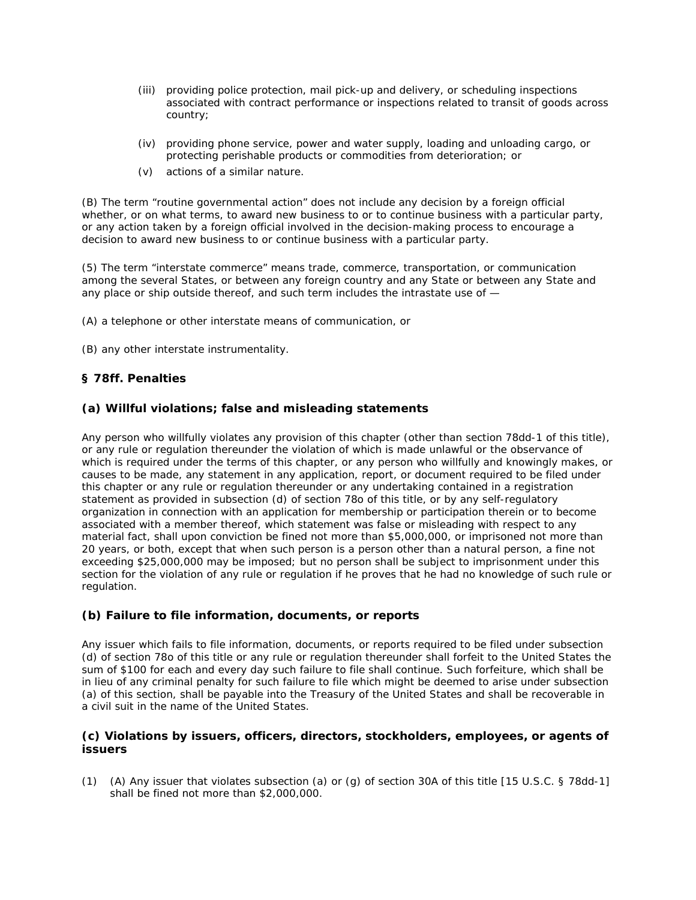- (iii) providing police protection, mail pick-up and delivery, or scheduling inspections associated with contract performance or inspections related to transit of goods across country;
- (iv) providing phone service, power and water supply, loading and unloading cargo, or protecting perishable products or commodities from deterioration; or
- (v) actions of a similar nature.

(B) The term "routine governmental action" does not include any decision by a foreign official whether, or on what terms, to award new business to or to continue business with a particular party, or any action taken by a foreign official involved in the decision-making process to encourage a decision to award new business to or continue business with a particular party.

(5) The term "interstate commerce" means trade, commerce, transportation, or communication among the several States, or between any foreign country and any State or between any State and any place or ship outside thereof, and such term includes the intrastate use of —

- (A) a telephone or other interstate means of communication, or
- (B) any other interstate instrumentality.

## **§ 78ff. Penalties**

### **(a) Willful violations; false and misleading statements**

Any person who willfully violates any provision of this chapter (other than section 78dd-1 of this title), or any rule or regulation thereunder the violation of which is made unlawful or the observance of which is required under the terms of this chapter, or any person who willfully and knowingly makes, or causes to be made, any statement in any application, report, or document required to be filed under this chapter or any rule or regulation thereunder or any undertaking contained in a registration statement as provided in subsection (d) of section 78*o* of this title, or by any self-regulatory organization in connection with an application for membership or participation therein or to become associated with a member thereof, which statement was false or misleading with respect to any material fact, shall upon conviction be fined not more than \$5,000,000, or imprisoned not more than 20 years, or both, except that when such person is a person other than a natural person, a fine not exceeding \$25,000,000 may be imposed; but no person shall be subject to imprisonment under this section for the violation of any rule or regulation if he proves that he had no knowledge of such rule or regulation.

#### **(b) Failure to file information, documents, or reports**

Any issuer which fails to file information, documents, or reports required to be filed under subsection (d) of section 78*o* of this title or any rule or regulation thereunder shall forfeit to the United States the sum of \$100 for each and every day such failure to file shall continue. Such forfeiture, which shall be in lieu of any criminal penalty for such failure to file which might be deemed to arise under subsection (a) of this section, shall be payable into the Treasury of the United States and shall be recoverable in a civil suit in the name of the United States.

#### **(c) Violations by issuers, officers, directors, stockholders, employees, or agents of issuers**

(1) (A) Any issuer that violates subsection (a) or (g) of section 30A of this title [15 U.S.C. § 78dd-1] shall be fined not more than \$2,000,000.